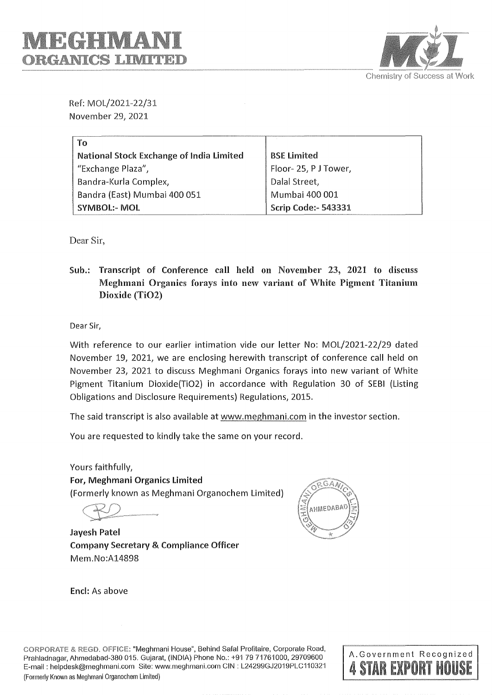

Ref: MOL/2021-22/31 November 29, 2021

| To                                       |                            |
|------------------------------------------|----------------------------|
| National Stock Exchange of India Limited | <b>BSE Limited</b>         |
| "Exchange Plaza",                        | Floor-25, PJ Tower,        |
| Bandra-Kurla Complex,                    | Dalal Street,              |
| Bandra (East) Mumbai 400 051             | Mumbai 400 001             |
| <b>SYMBOL:- MOL</b>                      | <b>Scrip Code:- 543331</b> |

Dear Sir,

Sub.: Transcript of Conference call held on November 23, 2021 to discuss Meghmani Organics forays into new variant of White Pigment Titanium Dioxide (TiO2)

Dear Sir,

With reference to our earlier intimation vide our letter No: MOL/2021-22/29 dated November 19, 2021, we are enclosing herewith transcript of conference call held on November 23, 2021 to discuss Meghmani Organics forays into new variant of White Pigment Titanium Dioxide(TiO2) in accordance with Regulation 30 of SEBI (Listing Obligations and Disclosure Requirements) Regulations, 2015.

The said transcript is also available at www.meghmani.com in the investor section.

You are requested to kindly take the same on your record.

Yours faithfully, For, Meghmani Organics Limited (Formerly known as Meghmani Organochem Limited)

**Jayesh Patel Company Secretary** & **Compliance Officer**  Mem.No:A14898



Encl: As above

**CORPORATE & REGO. OFFICE:** "Meghmani House", Behind Safa! Profitaire, Corporate Road, Prahladnagar, Ahmedabad-380 015. Gujarat, (INDIA) Phone No.: +91 79 71761000, 29709600 E-mail: helpdesk@meghmani.com Site: www.meghmani.com CIN: L24299GJ2019PLC110321 (Formerly Known as Meghmani Organochem Limited)

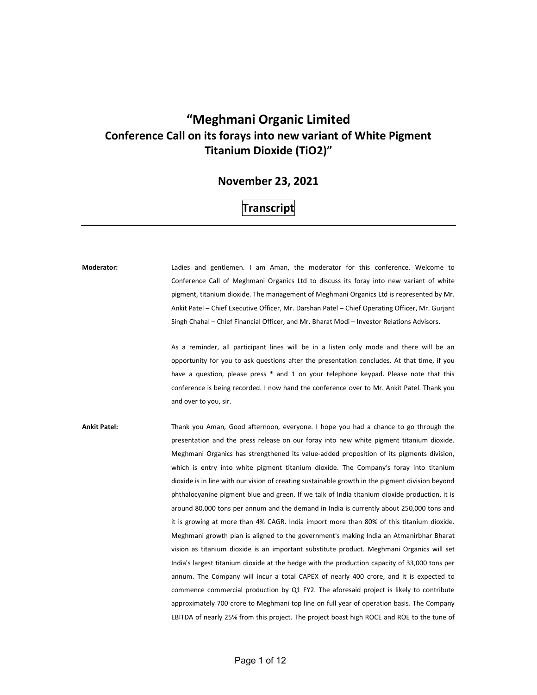## "Meghmani Organic Limited Conference Call on its forays into new variant of White Pigment Titanium Dioxide (TiO2)"

## November 23, 2021

## **Transcript**

Moderator: Ladies and gentlemen. I am Aman, the moderator for this conference. Welcome to Conference Call of Meghmani Organics Ltd to discuss its foray into new variant of white pigment, titanium dioxide. The management of Meghmani Organics Ltd is represented by Mr. Ankit Patel – Chief Executive Officer, Mr. Darshan Patel – Chief Operating Officer, Mr. Gurjant Singh Chahal – Chief Financial Officer, and Mr. Bharat Modi – Investor Relations Advisors. As a reminder, all participant lines will be in a listen only mode and there will be an opportunity for you to ask questions after the presentation concludes. At that time, if you have a question, please press \* and 1 on your telephone keypad. Please note that this conference is being recorded. I now hand the conference over to Mr. Ankit Patel. Thank you and over to you, sir. Ankit Patel: Thank you Aman, Good afternoon, everyone. I hope you had a chance to go through the presentation and the press release on our foray into new white pigment titanium dioxide. Meghmani Organics has strengthened its value-added proposition of its pigments division, which is entry into white pigment titanium dioxide. The Company's foray into titanium dioxide is in line with our vision of creating sustainable growth in the pigment division beyond phthalocyanine pigment blue and green. If we talk of India titanium dioxide production, it is around 80,000 tons per annum and the demand in India is currently about 250,000 tons and it is growing at more than 4% CAGR. India import more than 80% of this titanium dioxide. Meghmani growth plan is aligned to the government's making India an Atmanirbhar Bharat vision as titanium dioxide is an important substitute product. Meghmani Organics will set India's largest titanium dioxide at the hedge with the production capacity of 33,000 tons per annum. The Company will incur a total CAPEX of nearly 400 crore, and it is expected to commence commercial production by Q1 FY2. The aforesaid project is likely to contribute approximately 700 crore to Meghmani top line on full year of operation basis. The Company

EBITDA of nearly 25% from this project. The project boast high ROCE and ROE to the tune of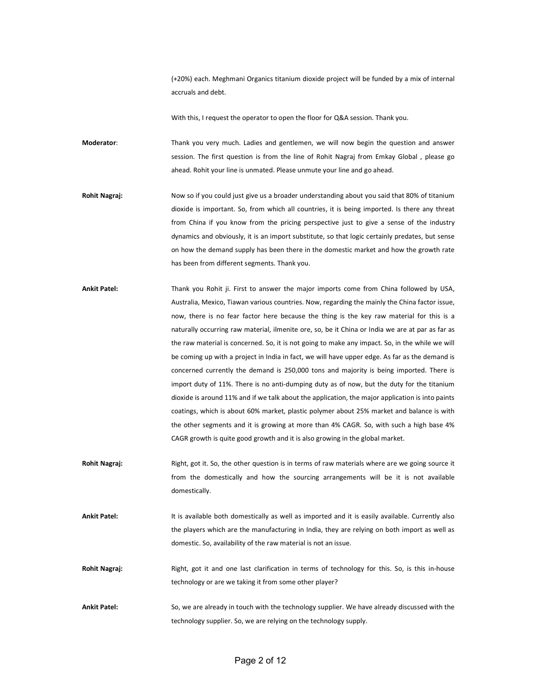(+20%) each. Meghmani Organics titanium dioxide project will be funded by a mix of internal accruals and debt.

With this, I request the operator to open the floor for Q&A session. Thank you.

Moderator: Thank you very much. Ladies and gentlemen, we will now begin the question and answer session. The first question is from the line of Rohit Nagraj from Emkay Global , please go ahead. Rohit your line is unmated. Please unmute your line and go ahead.

- Rohit Nagraj: Now so if you could just give us a broader understanding about you said that 80% of titanium dioxide is important. So, from which all countries, it is being imported. Is there any threat from China if you know from the pricing perspective just to give a sense of the industry dynamics and obviously, it is an import substitute, so that logic certainly predates, but sense on how the demand supply has been there in the domestic market and how the growth rate has been from different segments. Thank you.
- Ankit Patel: Thank you Rohit ji. First to answer the major imports come from China followed by USA, Australia, Mexico, Tiawan various countries. Now, regarding the mainly the China factor issue, now, there is no fear factor here because the thing is the key raw material for this is a naturally occurring raw material, ilmenite ore, so, be it China or India we are at par as far as the raw material is concerned. So, it is not going to make any impact. So, in the while we will be coming up with a project in India in fact, we will have upper edge. As far as the demand is concerned currently the demand is 250,000 tons and majority is being imported. There is import duty of 11%. There is no anti-dumping duty as of now, but the duty for the titanium dioxide is around 11% and if we talk about the application, the major application is into paints coatings, which is about 60% market, plastic polymer about 25% market and balance is with the other segments and it is growing at more than 4% CAGR. So, with such a high base 4% CAGR growth is quite good growth and it is also growing in the global market.
- Rohit Nagraj: Right, got it. So, the other question is in terms of raw materials where are we going source it from the domestically and how the sourcing arrangements will be it is not available domestically.
- Ankit Patel: It is available both domestically as well as imported and it is easily available. Currently also the players which are the manufacturing in India, they are relying on both import as well as domestic. So, availability of the raw material is not an issue.
- Rohit Nagraj: Right, got it and one last clarification in terms of technology for this. So, is this in-house technology or are we taking it from some other player?
- Ankit Patel: So, we are already in touch with the technology supplier. We have already discussed with the technology supplier. So, we are relying on the technology supply.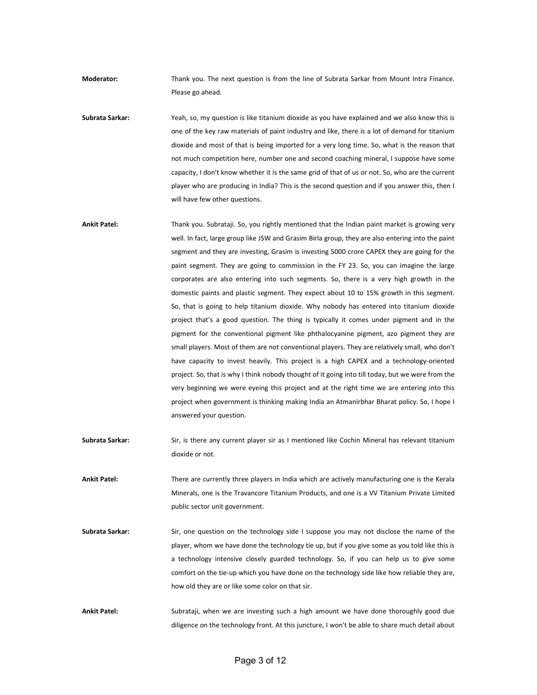Moderator: Thank you. The next question is from the line of Subrata Sarkar from Mount Intra Finance. Please go ahead.

Subrata Sarkar: Yeah, so, my question is like titanium dioxide as you have explained and we also know this is one of the key raw materials of paint industry and like, there is a lot of demand for titanium dioxide and most of that is being imported for a very long time. So, what is the reason that not much competition here, number one and second coaching mineral, I suppose have some capacity, I don't know whether it is the same grid of that of us or not. So, who are the current player who are producing in India? This is the second question and if you answer this, then I will have few other questions.

Ankit Patel: Thank you. Subrataji. So, you rightly mentioned that the Indian paint market is growing very well. In fact, large group like JSW and Grasim Birla group, they are also entering into the paint segment and they are investing, Grasim is investing 5000 crore CAPEX they are going for the paint segment. They are going to commission in the FY 23. So, you can imagine the large corporates are also entering into such segments. So, there is a very high growth in the domestic paints and plastic segment. They expect about 10 to 15% growth in this segment. So, that is going to help titanium dioxide. Why nobody has entered into titanium dioxide project that's a good question. The thing is typically it comes under pigment and in the pigment for the conventional pigment like phthalocyanine pigment, azo pigment they are small players. Most of them are not conventional players. They are relatively small, who don't have capacity to invest heavily. This project is a high CAPEX and a technology-oriented project. So, that is why I think nobody thought of it going into till today, but we were from the very beginning we were eyeing this project and at the right time we are entering into this project when government is thinking making India an Atmanirbhar Bharat policy. So, I hope I answered your question.

Subrata Sarkar: Sir, is there any current player sir as I mentioned like Cochin Mineral has relevant titanium dioxide or not.

Ankit Patel: There are currently three players in India which are actively manufacturing one is the Kerala Minerals, one is the Travancore Titanium Products, and one is a VV Titanium Private Limited public sector unit government.

Subrata Sarkar: Sir, one question on the technology side I suppose you may not disclose the name of the player, whom we have done the technology tie up, but if you give some as you told like this is a technology intensive closely guarded technology. So, if you can help us to give some comfort on the tie-up which you have done on the technology side like how reliable they are, how old they are or like some color on that sir.

Ankit Patel: Subrataji, when we are investing such a high amount we have done thoroughly good due diligence on the technology front. At this juncture, I won't be able to share much detail about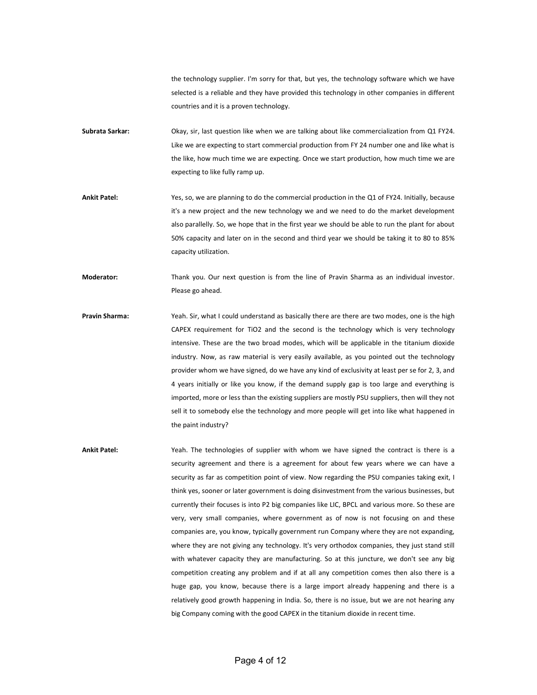the technology supplier. I'm sorry for that, but yes, the technology software which we have selected is a reliable and they have provided this technology in other companies in different countries and it is a proven technology.

- Subrata Sarkar: Okay, sir, last question like when we are talking about like commercialization from Q1 FY24. Like we are expecting to start commercial production from FY 24 number one and like what is the like, how much time we are expecting. Once we start production, how much time we are expecting to like fully ramp up.
- Ankit Patel: Yes, so, we are planning to do the commercial production in the Q1 of FY24. Initially, because it's a new project and the new technology we and we need to do the market development also parallelly. So, we hope that in the first year we should be able to run the plant for about 50% capacity and later on in the second and third year we should be taking it to 80 to 85% capacity utilization.

Moderator: Thank you. Our next question is from the line of Pravin Sharma as an individual investor. Please go ahead.

- Pravin Sharma: Yeah. Sir, what I could understand as basically there are there are two modes, one is the high CAPEX requirement for TiO2 and the second is the technology which is very technology intensive. These are the two broad modes, which will be applicable in the titanium dioxide industry. Now, as raw material is very easily available, as you pointed out the technology provider whom we have signed, do we have any kind of exclusivity at least per se for 2, 3, and 4 years initially or like you know, if the demand supply gap is too large and everything is imported, more or less than the existing suppliers are mostly PSU suppliers, then will they not sell it to somebody else the technology and more people will get into like what happened in the paint industry?
- Ankit Patel: Yeah. The technologies of supplier with whom we have signed the contract is there is a security agreement and there is a agreement for about few years where we can have a security as far as competition point of view. Now regarding the PSU companies taking exit, I think yes, sooner or later government is doing disinvestment from the various businesses, but currently their focuses is into P2 big companies like LIC, BPCL and various more. So these are very, very small companies, where government as of now is not focusing on and these companies are, you know, typically government run Company where they are not expanding, where they are not giving any technology. It's very orthodox companies, they just stand still with whatever capacity they are manufacturing. So at this juncture, we don't see any big competition creating any problem and if at all any competition comes then also there is a huge gap, you know, because there is a large import already happening and there is a relatively good growth happening in India. So, there is no issue, but we are not hearing any big Company coming with the good CAPEX in the titanium dioxide in recent time.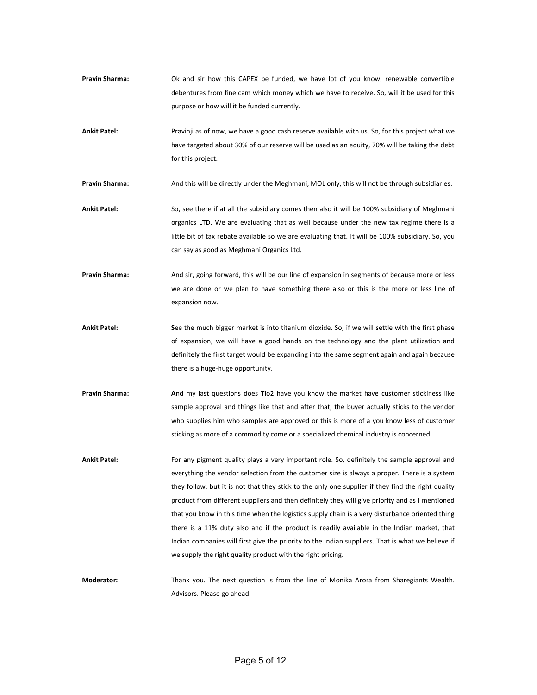- Pravin Sharma: Ok and sir how this CAPEX be funded, we have lot of you know, renewable convertible debentures from fine cam which money which we have to receive. So, will it be used for this purpose or how will it be funded currently.
- Ankit Patel: Pravinji as of now, we have a good cash reserve available with us. So, for this project what we have targeted about 30% of our reserve will be used as an equity, 70% will be taking the debt for this project.

Pravin Sharma: And this will be directly under the Meghmani, MOL only, this will not be through subsidiaries.

- Ankit Patel: So, see there if at all the subsidiary comes then also it will be 100% subsidiary of Meghmani organics LTD. We are evaluating that as well because under the new tax regime there is a little bit of tax rebate available so we are evaluating that. It will be 100% subsidiary. So, you can say as good as Meghmani Organics Ltd.
- Pravin Sharma: And sir, going forward, this will be our line of expansion in segments of because more or less we are done or we plan to have something there also or this is the more or less line of expansion now.
- Ankit Patel: See the much bigger market is into titanium dioxide. So, if we will settle with the first phase of expansion, we will have a good hands on the technology and the plant utilization and definitely the first target would be expanding into the same segment again and again because there is a huge-huge opportunity.
- Pravin Sharma: And my last questions does Tio2 have you know the market have customer stickiness like sample approval and things like that and after that, the buyer actually sticks to the vendor who supplies him who samples are approved or this is more of a you know less of customer sticking as more of a commodity come or a specialized chemical industry is concerned.
- Ankit Patel: For any pigment quality plays a very important role. So, definitely the sample approval and everything the vendor selection from the customer size is always a proper. There is a system they follow, but it is not that they stick to the only one supplier if they find the right quality product from different suppliers and then definitely they will give priority and as I mentioned that you know in this time when the logistics supply chain is a very disturbance oriented thing there is a 11% duty also and if the product is readily available in the Indian market, that Indian companies will first give the priority to the Indian suppliers. That is what we believe if we supply the right quality product with the right pricing.

Moderator: Thank you. The next question is from the line of Monika Arora from Sharegiants Wealth. Advisors. Please go ahead.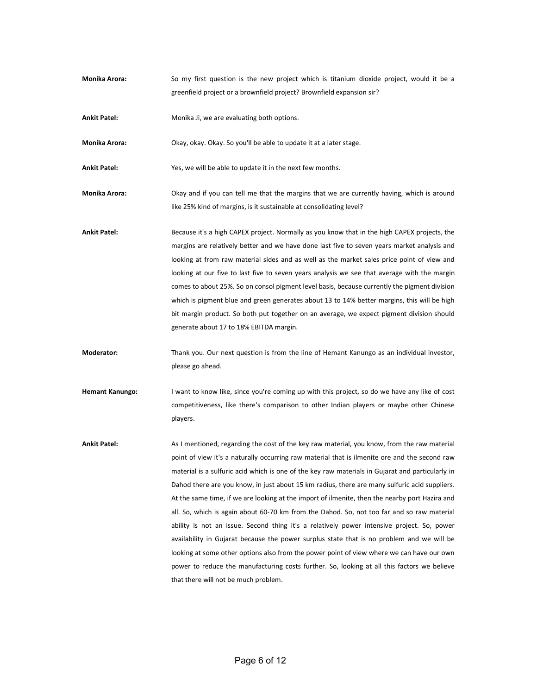- Monika Arora: So my first question is the new project which is titanium dioxide project, would it be a greenfield project or a brownfield project? Brownfield expansion sir?
- Ankit Patel: Monika Ji, we are evaluating both options.

Monika Arora: Okay, okay. Okay. So you'll be able to update it at a later stage.

Ankit Patel: Yes, we will be able to update it in the next few months.

- Monika Arora: Okay and if you can tell me that the margins that we are currently having, which is around like 25% kind of margins, is it sustainable at consolidating level?
- Ankit Patel: Because it's a high CAPEX project. Normally as you know that in the high CAPEX projects, the margins are relatively better and we have done last five to seven years market analysis and looking at from raw material sides and as well as the market sales price point of view and looking at our five to last five to seven years analysis we see that average with the margin comes to about 25%. So on consol pigment level basis, because currently the pigment division which is pigment blue and green generates about 13 to 14% better margins, this will be high bit margin product. So both put together on an average, we expect pigment division should generate about 17 to 18% EBITDA margin.
- Moderator: Thank you. Our next question is from the line of Hemant Kanungo as an individual investor, please go ahead.
- Hemant Kanungo: I want to know like, since you're coming up with this project, so do we have any like of cost competitiveness, like there's comparison to other Indian players or maybe other Chinese players.
- Ankit Patel: As I mentioned, regarding the cost of the key raw material, you know, from the raw material point of view it's a naturally occurring raw material that is ilmenite ore and the second raw material is a sulfuric acid which is one of the key raw materials in Gujarat and particularly in Dahod there are you know, in just about 15 km radius, there are many sulfuric acid suppliers. At the same time, if we are looking at the import of ilmenite, then the nearby port Hazira and all. So, which is again about 60-70 km from the Dahod. So, not too far and so raw material ability is not an issue. Second thing it's a relatively power intensive project. So, power availability in Gujarat because the power surplus state that is no problem and we will be looking at some other options also from the power point of view where we can have our own power to reduce the manufacturing costs further. So, looking at all this factors we believe that there will not be much problem.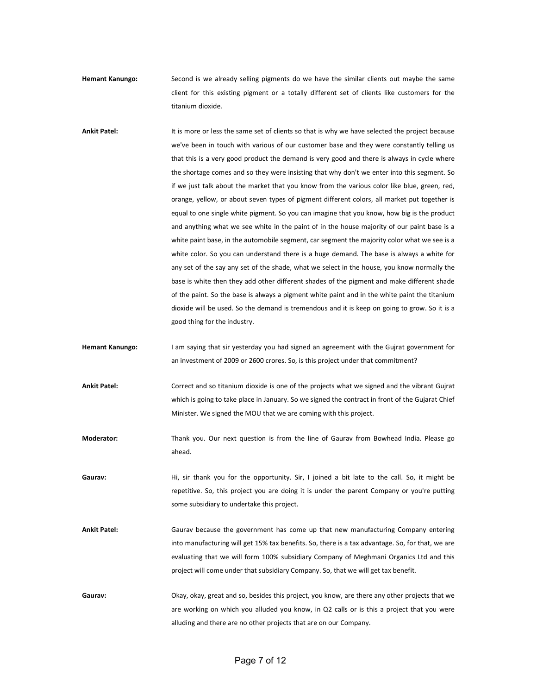Hemant Kanungo: Second is we already selling pigments do we have the similar clients out maybe the same client for this existing pigment or a totally different set of clients like customers for the titanium dioxide.

Ankit Patel: It is more or less the same set of clients so that is why we have selected the project because we've been in touch with various of our customer base and they were constantly telling us that this is a very good product the demand is very good and there is always in cycle where the shortage comes and so they were insisting that why don't we enter into this segment. So if we just talk about the market that you know from the various color like blue, green, red, orange, yellow, or about seven types of pigment different colors, all market put together is equal to one single white pigment. So you can imagine that you know, how big is the product and anything what we see white in the paint of in the house majority of our paint base is a white paint base, in the automobile segment, car segment the majority color what we see is a white color. So you can understand there is a huge demand. The base is always a white for any set of the say any set of the shade, what we select in the house, you know normally the base is white then they add other different shades of the pigment and make different shade of the paint. So the base is always a pigment white paint and in the white paint the titanium dioxide will be used. So the demand is tremendous and it is keep on going to grow. So it is a good thing for the industry.

Hemant Kanungo: I am saying that sir yesterday you had signed an agreement with the Gujrat government for an investment of 2009 or 2600 crores. So, is this project under that commitment?

Ankit Patel: Correct and so titanium dioxide is one of the projects what we signed and the vibrant Gujrat which is going to take place in January. So we signed the contract in front of the Gujarat Chief Minister. We signed the MOU that we are coming with this project.

Moderator: Thank you. Our next question is from the line of Gaurav from Bowhead India. Please go ahead.

Gaurav: Hi, sir thank you for the opportunity. Sir, I joined a bit late to the call. So, it might be repetitive. So, this project you are doing it is under the parent Company or you're putting some subsidiary to undertake this project.

Ankit Patel: Gaurav because the government has come up that new manufacturing Company entering into manufacturing will get 15% tax benefits. So, there is a tax advantage. So, for that, we are evaluating that we will form 100% subsidiary Company of Meghmani Organics Ltd and this project will come under that subsidiary Company. So, that we will get tax benefit.

Gaurav: Okay, okay, great and so, besides this project, you know, are there any other projects that we are working on which you alluded you know, in Q2 calls or is this a project that you were alluding and there are no other projects that are on our Company.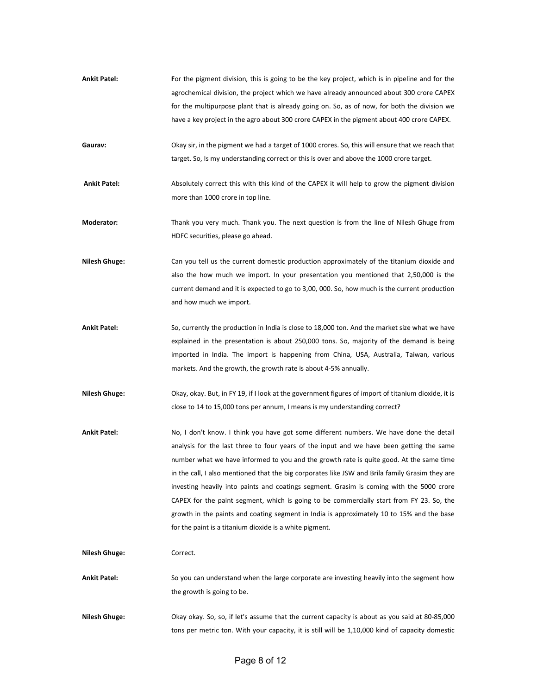| <b>Ankit Patel:</b> | For the pigment division, this is going to be the key project, which is in pipeline and for the |
|---------------------|-------------------------------------------------------------------------------------------------|
|                     | agrochemical division, the project which we have already announced about 300 crore CAPEX        |
|                     | for the multipurpose plant that is already going on. So, as of now, for both the division we    |
|                     | have a key project in the agro about 300 crore CAPEX in the pigment about 400 crore CAPEX.      |

- Gaurav: Okay sir, in the pigment we had a target of 1000 crores. So, this will ensure that we reach that we reach that target. So, Is my understanding correct or this is over and above the 1000 crore target.
- Ankit Patel: Absolutely correct this with this kind of the CAPEX it will help to grow the pigment division more than 1000 crore in top line.
- Moderator: Thank you very much. Thank you. The next question is from the line of Nilesh Ghuge from HDFC securities, please go ahead.
- Nilesh Ghuge: Can you tell us the current domestic production approximately of the titanium dioxide and also the how much we import. In your presentation you mentioned that 2,50,000 is the current demand and it is expected to go to 3,00, 000. So, how much is the current production and how much we import.
- Ankit Patel: So, currently the production in India is close to 18,000 ton. And the market size what we have explained in the presentation is about 250,000 tons. So, majority of the demand is being imported in India. The import is happening from China, USA, Australia, Taiwan, various markets. And the growth, the growth rate is about 4-5% annually.
- Nilesh Ghuge: Okay, okay. But, in FY 19, if I look at the government figures of import of titanium dioxide, it is close to 14 to 15,000 tons per annum, I means is my understanding correct?
- Ankit Patel: No, I don't know. I think you have got some different numbers. We have done the detail analysis for the last three to four years of the input and we have been getting the same number what we have informed to you and the growth rate is quite good. At the same time in the call, I also mentioned that the big corporates like JSW and Brila family Grasim they are investing heavily into paints and coatings segment. Grasim is coming with the 5000 crore CAPEX for the paint segment, which is going to be commercially start from FY 23. So, the growth in the paints and coating segment in India is approximately 10 to 15% and the base for the paint is a titanium dioxide is a white pigment.

Nilesh Ghuge: Correct.

Ankit Patel: So you can understand when the large corporate are investing heavily into the segment how the growth is going to be.

Nilesh Ghuge: Okay okay. So, so, if let's assume that the current capacity is about as you said at 80-85,000 tons per metric ton. With your capacity, it is still will be 1,10,000 kind of capacity domestic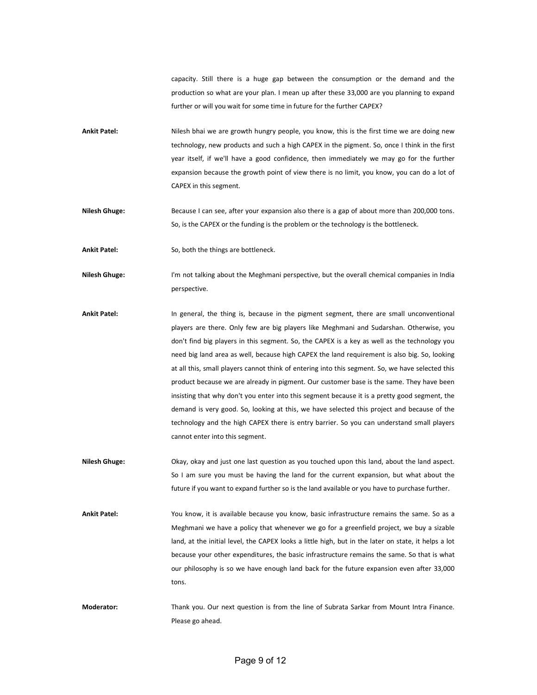capacity. Still there is a huge gap between the consumption or the demand and the production so what are your plan. I mean up after these 33,000 are you planning to expand further or will you wait for some time in future for the further CAPEX?

- Ankit Patel: Nilesh bhai we are growth hungry people, you know, this is the first time we are doing new technology, new products and such a high CAPEX in the pigment. So, once I think in the first year itself, if we'll have a good confidence, then immediately we may go for the further expansion because the growth point of view there is no limit, you know, you can do a lot of CAPEX in this segment.
- Nilesh Ghuge: Because I can see, after your expansion also there is a gap of about more than 200,000 tons. So, is the CAPEX or the funding is the problem or the technology is the bottleneck.

Ankit Patel: So, both the things are bottleneck.

- Nilesh Ghuge: I'm not talking about the Meghmani perspective, but the overall chemical companies in India perspective.
- Ankit Patel: In general, the thing is, because in the pigment segment, there are small unconventional players are there. Only few are big players like Meghmani and Sudarshan. Otherwise, you don't find big players in this segment. So, the CAPEX is a key as well as the technology you need big land area as well, because high CAPEX the land requirement is also big. So, looking at all this, small players cannot think of entering into this segment. So, we have selected this product because we are already in pigment. Our customer base is the same. They have been insisting that why don't you enter into this segment because it is a pretty good segment, the demand is very good. So, looking at this, we have selected this project and because of the technology and the high CAPEX there is entry barrier. So you can understand small players cannot enter into this segment.
- Nilesh Ghuge: Okay, okay and just one last question as you touched upon this land, about the land aspect. So I am sure you must be having the land for the current expansion, but what about the future if you want to expand further so is the land available or you have to purchase further.
- Ankit Patel: You know, it is available because you know, basic infrastructure remains the same. So as a Meghmani we have a policy that whenever we go for a greenfield project, we buy a sizable land, at the initial level, the CAPEX looks a little high, but in the later on state, it helps a lot because your other expenditures, the basic infrastructure remains the same. So that is what our philosophy is so we have enough land back for the future expansion even after 33,000 tons.
- Moderator: Thank you. Our next question is from the line of Subrata Sarkar from Mount Intra Finance. Please go ahead.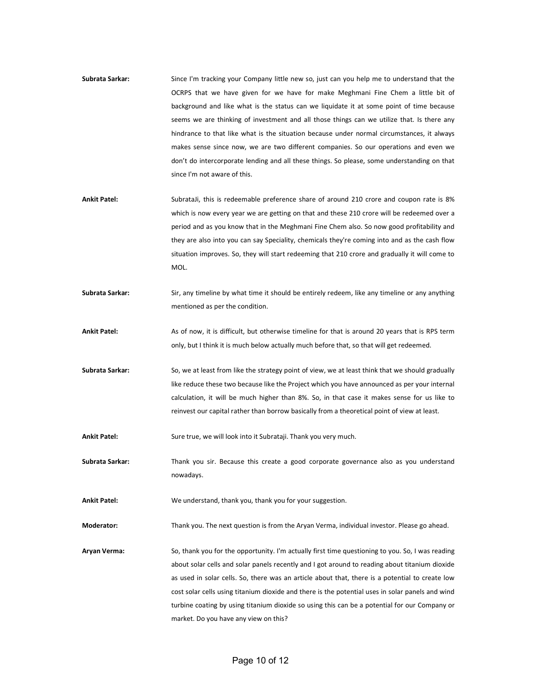- Subrata Sarkar: Since I'm tracking your Company little new so, just can you help me to understand that the OCRPS that we have given for we have for make Meghmani Fine Chem a little bit of background and like what is the status can we liquidate it at some point of time because seems we are thinking of investment and all those things can we utilize that. Is there any hindrance to that like what is the situation because under normal circumstances, it always makes sense since now, we are two different companies. So our operations and even we don't do intercorporate lending and all these things. So please, some understanding on that since I'm not aware of this.
- Ankit Patel: SubrataJi, this is redeemable preference share of around 210 crore and coupon rate is 8% which is now every year we are getting on that and these 210 crore will be redeemed over a period and as you know that in the Meghmani Fine Chem also. So now good profitability and they are also into you can say Speciality, chemicals they're coming into and as the cash flow situation improves. So, they will start redeeming that 210 crore and gradually it will come to MOL.
- Subrata Sarkar: Sir, any timeline by what time it should be entirely redeem, like any timeline or any anything mentioned as per the condition.
- Ankit Patel: As of now, it is difficult, but otherwise timeline for that is around 20 years that is RPS term only, but I think it is much below actually much before that, so that will get redeemed.
- Subrata Sarkar: So, we at least from like the strategy point of view, we at least think that we should gradually like reduce these two because like the Project which you have announced as per your internal calculation, it will be much higher than 8%. So, in that case it makes sense for us like to reinvest our capital rather than borrow basically from a theoretical point of view at least.

Ankit Patel: Sure true, we will look into it Subrataji. Thank you very much.

Subrata Sarkar: Thank you sir. Because this create a good corporate governance also as you understand nowadays.

Ankit Patel: We understand, thank you, thank you for your suggestion.

Moderator: Thank you. The next question is from the Aryan Verma, individual investor. Please go ahead.

Aryan Verma: So, thank you for the opportunity. I'm actually first time questioning to you. So, I was reading about solar cells and solar panels recently and I got around to reading about titanium dioxide as used in solar cells. So, there was an article about that, there is a potential to create low cost solar cells using titanium dioxide and there is the potential uses in solar panels and wind turbine coating by using titanium dioxide so using this can be a potential for our Company or market. Do you have any view on this?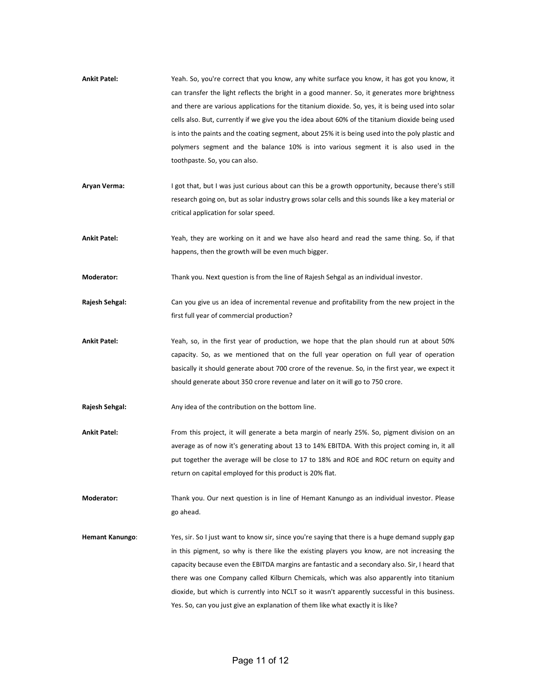| <b>Ankit Patel:</b>    | Yeah. So, you're correct that you know, any white surface you know, it has got you know, it<br>can transfer the light reflects the bright in a good manner. So, it generates more brightness |
|------------------------|----------------------------------------------------------------------------------------------------------------------------------------------------------------------------------------------|
|                        | and there are various applications for the titanium dioxide. So, yes, it is being used into solar                                                                                            |
|                        | cells also. But, currently if we give you the idea about 60% of the titanium dioxide being used                                                                                              |
|                        | is into the paints and the coating segment, about 25% it is being used into the poly plastic and                                                                                             |
|                        | polymers segment and the balance 10% is into various segment it is also used in the                                                                                                          |
|                        | toothpaste. So, you can also.                                                                                                                                                                |
| Aryan Verma:           | I got that, but I was just curious about can this be a growth opportunity, because there's still                                                                                             |
|                        | research going on, but as solar industry grows solar cells and this sounds like a key material or                                                                                            |
|                        | critical application for solar speed.                                                                                                                                                        |
| <b>Ankit Patel:</b>    | Yeah, they are working on it and we have also heard and read the same thing. So, if that                                                                                                     |
|                        | happens, then the growth will be even much bigger.                                                                                                                                           |
| Moderator:             | Thank you. Next question is from the line of Rajesh Sehgal as an individual investor.                                                                                                        |
| Rajesh Sehgal:         | Can you give us an idea of incremental revenue and profitability from the new project in the                                                                                                 |
|                        | first full year of commercial production?                                                                                                                                                    |
| <b>Ankit Patel:</b>    | Yeah, so, in the first year of production, we hope that the plan should run at about 50%                                                                                                     |
|                        | capacity. So, as we mentioned that on the full year operation on full year of operation                                                                                                      |
|                        | basically it should generate about 700 crore of the revenue. So, in the first year, we expect it                                                                                             |
|                        | should generate about 350 crore revenue and later on it will go to 750 crore.                                                                                                                |
| Rajesh Sehgal:         | Any idea of the contribution on the bottom line.                                                                                                                                             |
| <b>Ankit Patel:</b>    | From this project, it will generate a beta margin of nearly 25%. So, pigment division on an                                                                                                  |
|                        | average as of now it's generating about 13 to 14% EBITDA. With this project coming in, it all                                                                                                |
|                        | put together the average will be close to 17 to 18% and ROE and ROC return on equity and                                                                                                     |
|                        | return on capital employed for this product is 20% flat.                                                                                                                                     |
| Moderator:             | Thank you. Our next question is in line of Hemant Kanungo as an individual investor. Please                                                                                                  |
|                        | go ahead.                                                                                                                                                                                    |
| <b>Hemant Kanungo:</b> | Yes, sir. So I just want to know sir, since you're saying that there is a huge demand supply gap                                                                                             |
|                        | in this pigment, so why is there like the existing players you know, are not increasing the                                                                                                  |
|                        | capacity because even the EBITDA margins are fantastic and a secondary also. Sir, I heard that                                                                                               |
|                        | there was one Company called Kilburn Chemicals, which was also apparently into titanium                                                                                                      |
|                        | dioxide, but which is currently into NCLT so it wasn't apparently successful in this business.<br>Yes. So, can you just give an explanation of them like what exactly it is like?            |
|                        |                                                                                                                                                                                              |